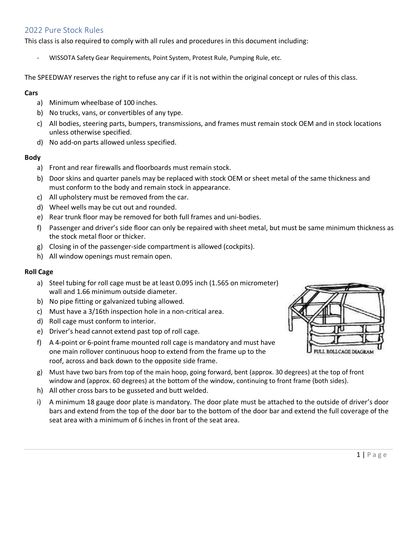# 2022 Pure Stock Rules

This class is also required to comply with all rules and procedures in this document including:

- WISSOTA Safety Gear Requirements, Point System, Protest Rule, Pumping Rule, etc.

The SPEEDWAY reserves the right to refuse any car if it is not within the original concept or rules of this class.

# **Cars**

- a) Minimum wheelbase of 100 inches.
- b) No trucks, vans, or convertibles of any type.
- c) All bodies, steering parts, bumpers, transmissions, and frames must remain stock OEM and in stock locations unless otherwise specified.
- d) No add-on parts allowed unless specified.

# **Body**

- a) Front and rear firewalls and floorboards must remain stock.
- b) Door skins and quarter panels may be replaced with stock OEM or sheet metal of the same thickness and must conform to the body and remain stock in appearance.
- c) All upholstery must be removed from the car.
- d) Wheel wells may be cut out and rounded.
- e) Rear trunk floor may be removed for both full frames and uni-bodies.
- f) Passenger and driver's side floor can only be repaired with sheet metal, but must be same minimum thickness as the stock metal floor or thicker.
- g) Closing in of the passenger-side compartment is allowed (cockpits).
- h) All window openings must remain open.

## **Roll Cage**

- a) Steel tubing for roll cage must be at least 0.095 inch (1.565 on micrometer) wall and 1.66 minimum outside diameter.
- b) No pipe fitting or galvanized tubing allowed.
- c) Must have a 3/16th inspection hole in a non-critical area.
- d) Roll cage must conform to interior.
- e) Driver's head cannot extend past top of roll cage.
- f) A 4-point or 6-point frame mounted roll cage is mandatory and must have one main rollover continuous hoop to extend from the frame up to the roof, across and back down to the opposite side frame.
- g) Must have two bars from top of the main hoop, going forward, bent (approx. 30 degrees) at the top of front window and (approx. 60 degrees) at the bottom of the window, continuing to front frame (both sides).
- h) All other cross bars to be gusseted and butt welded.
- i) A minimum 18 gauge door plate is mandatory. The door plate must be attached to the outside of driver's door bars and extend from the top of the door bar to the bottom of the door bar and extend the full coverage of the seat area with a minimum of 6 inches in front of the seat area.

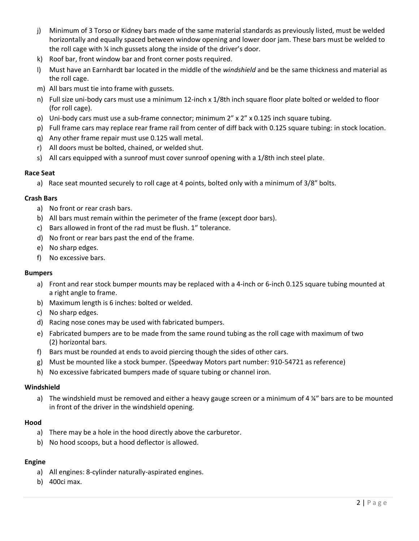- j) Minimum of 3 Torso or Kidney bars made of the same material standards as previously listed, must be welded horizontally and equally spaced between window opening and lower door jam. These bars must be welded to the roll cage with ¼ inch gussets along the inside of the driver's door.
- k) Roof bar, front window bar and front corner posts required.
- l) Must have an Earnhardt bar located in the middle of the *windshield* and be the same thickness and material as the roll cage.
- m) All bars must tie into frame with gussets.
- n) Full size uni-body cars must use a minimum 12-inch x 1/8th inch square floor plate bolted or welded to floor (for roll cage).
- o) Uni-body cars must use a sub-frame connector; minimum 2" x 2" x 0.125 inch square tubing.
- p) Full frame cars may replace rear frame rail from center of diff back with 0.125 square tubing: in stock location.
- q) Any other frame repair must use 0.125 wall metal.
- r) All doors must be bolted, chained, or welded shut.
- s) All cars equipped with a sunroof must cover sunroof opening with a 1/8th inch steel plate.

## **Race Seat**

a) Race seat mounted securely to roll cage at 4 points, bolted only with a minimum of 3/8" bolts.

## **Crash Bars**

- a) No front or rear crash bars.
- b) All bars must remain within the perimeter of the frame (except door bars).
- c) Bars allowed in front of the rad must be flush. 1" tolerance.
- d) No front or rear bars past the end of the frame.
- e) No sharp edges.
- f) No excessive bars.

## **Bumpers**

- a) Front and rear stock bumper mounts may be replaced with a 4-inch or 6-inch 0.125 square tubing mounted at a right angle to frame.
- b) Maximum length is 6 inches: bolted or welded.
- c) No sharp edges.
- d) Racing nose cones may be used with fabricated bumpers.
- e) Fabricated bumpers are to be made from the same round tubing as the roll cage with maximum of two (2) horizontal bars.
- f) Bars must be rounded at ends to avoid piercing though the sides of other cars.
- g) Must be mounted like a stock bumper. (Speedway Motors part number: 910-54721 as reference)
- h) No excessive fabricated bumpers made of square tubing or channel iron.

#### **Windshield**

a) The windshield must be removed and either a heavy gauge screen or a minimum of 4  $\frac{1}{4}$  bars are to be mounted in front of the driver in the windshield opening.

#### **Hood**

- a) There may be a hole in the hood directly above the carburetor.
- b) No hood scoops, but a hood deflector is allowed.

## **Engine**

- a) All engines: 8-cylinder naturally-aspirated engines.
- b) 400ci max.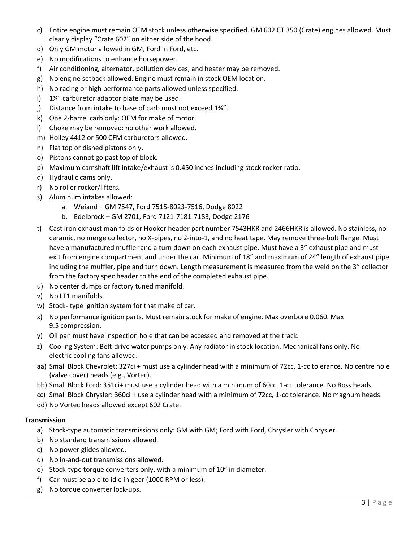- c) Entire engine must remain OEM stock unless otherwise specified. GM 602 CT 350 (Crate) engines allowed. Must clearly display "Crate 602" on either side of the hood.
- d) Only GM motor allowed in GM, Ford in Ford, etc.
- e) No modifications to enhance horsepower.
- f) Air conditioning, alternator, pollution devices, and heater may be removed.
- g) No engine setback allowed. Engine must remain in stock OEM location.
- h) No racing or high performance parts allowed unless specified.
- i) 1¼" carburetor adaptor plate may be used.
- j) Distance from intake to base of carb must not exceed 1¾".
- k) One 2-barrel carb only: OEM for make of motor.
- l) Choke may be removed: no other work allowed.
- m) Holley 4412 or 500 CFM carburetors allowed.
- n) Flat top or dished pistons only.
- o) Pistons cannot go past top of block.
- p) Maximum camshaft lift intake/exhaust is 0.450 inches including stock rocker ratio.
- q) Hydraulic cams only.
- r) No roller rocker/lifters.
- s) Aluminum intakes allowed:
	- a. Weiand GM 7547, Ford 7515-8023-7516, Dodge 8022
	- b. Edelbrock GM 2701, Ford 7121-7181-7183, Dodge 2176
- t) Cast iron exhaust manifolds or Hooker header part number 7543HKR and 2466HKR is allowed. No stainless, no ceramic, no merge collector, no X-pipes, no 2-into-1, and no heat tape. May remove three-bolt flange. Must have a manufactured muffler and a turn down on each exhaust pipe. Must have a 3" exhaust pipe and must exit from engine compartment and under the car. Minimum of 18" and maximum of 24" length of exhaust pipe including the muffler, pipe and turn down. Length measurement is measured from the weld on the 3" collector from the factory spec header to the end of the completed exhaust pipe.
- u) No center dumps or factory tuned manifold.
- v) No LT1 manifolds.
- w) Stock- type ignition system for that make of car.
- x) No performance ignition parts. Must remain stock for make of engine. Max overbore 0.060. Max 9.5 compression.
- y) Oil pan must have inspection hole that can be accessed and removed at the track.
- z) Cooling System: Belt-drive water pumps only. Any radiator in stock location. Mechanical fans only. No electric cooling fans allowed.
- aa) Small Block Chevrolet: 327ci + must use a cylinder head with a minimum of 72cc, 1-cc tolerance. No centre hole (valve cover) heads (e.g., Vortec).
- bb) Small Block Ford: 351ci+ must use a cylinder head with a minimum of 60cc. 1-cc tolerance. No Boss heads.
- cc) Small Block Chrysler: 360ci + use a cylinder head with a minimum of 72cc, 1-cc tolerance. No magnum heads.
- dd) No Vortec heads allowed except 602 Crate.

## **Transmission**

- a) Stock-type automatic transmissions only: GM with GM; Ford with Ford, Chrysler with Chrysler.
- b) No standard transmissions allowed.
- c) No power glides allowed.
- d) No in-and-out transmissions allowed.
- e) Stock-type torque converters only, with a minimum of 10" in diameter.
- f) Car must be able to idle in gear (1000 RPM or less).
- g) No torque converter lock-ups.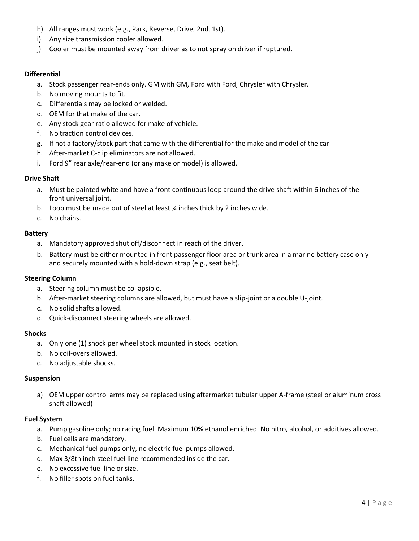- h) All ranges must work (e.g., Park, Reverse, Drive, 2nd, 1st).
- i) Any size transmission cooler allowed.
- j) Cooler must be mounted away from driver as to not spray on driver if ruptured.

## **Differential**

- a. Stock passenger rear-ends only. GM with GM, Ford with Ford, Chrysler with Chrysler.
- b. No moving mounts to fit.
- c. Differentials may be locked or welded.
- d. OEM for that make of the car.
- e. Any stock gear ratio allowed for make of vehicle.
- f. No traction control devices.
- g. If not a factory/stock part that came with the differential for the make and model of the car
- h. After-market C-clip eliminators are not allowed.
- i. Ford 9" rear axle/rear-end (or any make or model) is allowed.

#### **Drive Shaft**

- a. Must be painted white and have a front continuous loop around the drive shaft within 6 inches of the front universal joint.
- b. Loop must be made out of steel at least ¼ inches thick by 2 inches wide.
- c. No chains.

## **Battery**

- a. Mandatory approved shut off/disconnect in reach of the driver.
- b. Battery must be either mounted in front passenger floor area or trunk area in a marine battery case only and securely mounted with a hold-down strap (e.g., seat belt).

## **Steering Column**

- a. Steering column must be collapsible.
- b. After-market steering columns are allowed, but must have a slip-joint or a double U-joint.
- c. No solid shafts allowed.
- d. Quick-disconnect steering wheels are allowed.

## **Shocks**

- a. Only one (1) shock per wheel stock mounted in stock location.
- b. No coil-overs allowed.
- c. No adjustable shocks.

## **Suspension**

a) OEM upper control arms may be replaced using aftermarket tubular upper A-frame (steel or aluminum cross shaft allowed)

## **Fuel System**

- a. Pump gasoline only; no racing fuel. Maximum 10% ethanol enriched. No nitro, alcohol, or additives allowed.
- b. Fuel cells are mandatory.
- c. Mechanical fuel pumps only, no electric fuel pumps allowed.
- d. Max 3/8th inch steel fuel line recommended inside the car.
- e. No excessive fuel line or size.
- f. No filler spots on fuel tanks.